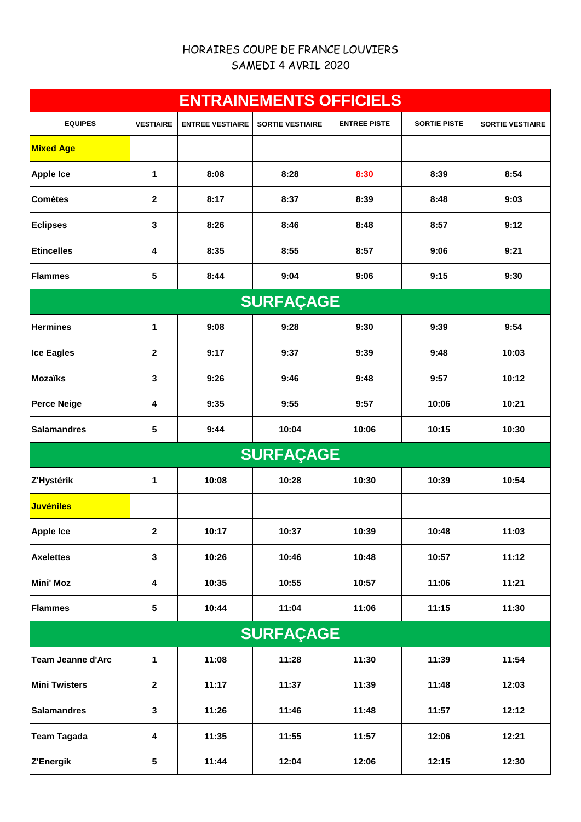# HORAIRES COUPE DE FRANCE LOUVIERS SAMEDI 4 AVRIL 2020

| <b>ENTRAINEMENTS OFFICIELS</b> |                  |                         |                         |                     |                     |                         |  |
|--------------------------------|------------------|-------------------------|-------------------------|---------------------|---------------------|-------------------------|--|
| <b>EQUIPES</b>                 | <b>VESTIAIRE</b> | <b>ENTREE VESTIAIRE</b> | <b>SORTIE VESTIAIRE</b> | <b>ENTREE PISTE</b> | <b>SORTIE PISTE</b> | <b>SORTIE VESTIAIRE</b> |  |
| <b>Mixed Age</b>               |                  |                         |                         |                     |                     |                         |  |
| <b>Apple Ice</b>               | 1                | 8:08                    | 8:28                    | 8:30                | 8:39                | 8:54                    |  |
| <b>Comètes</b>                 | 2                | 8:17                    | 8:37                    | 8:39                | 8:48                | 9:03                    |  |
| <b>Eclipses</b>                | 3                | 8:26                    | 8:46                    | 8:48                | 8:57                | 9:12                    |  |
| <b>Etincelles</b>              | 4                | 8:35                    | 8:55                    | 8:57                | 9:06                | 9:21                    |  |
| <b>Flammes</b>                 | 5                | 8:44                    | 9:04                    | 9:06                | 9:15                | 9:30                    |  |
|                                |                  |                         | <b>SURFAÇAGE</b>        |                     |                     |                         |  |
| <b>Hermines</b>                | 1                | 9:08                    | 9:28                    | 9:30                | 9:39                | 9:54                    |  |
| <b>Ice Eagles</b>              | 2                | 9:17                    | 9:37                    | 9:39                | 9:48                | 10:03                   |  |
| <b>Mozaïks</b>                 | 3                | 9:26                    | 9:46                    | 9:48                | 9:57                | 10:12                   |  |
| <b>Perce Neige</b>             | 4                | 9:35                    | 9:55                    | 9:57                | 10:06               | 10:21                   |  |
| <b>Salamandres</b>             | 5                | 9:44                    | 10:04                   | 10:06               | 10:15               | 10:30                   |  |
|                                |                  |                         | <b>SURFAÇAGE</b>        |                     |                     |                         |  |
| Z'Hystérik                     | 1                | 10:08                   | 10:28                   | 10:30               | 10:39               | 10:54                   |  |
| <b>Juvéniles</b>               |                  |                         |                         |                     |                     |                         |  |
| <b>Apple Ice</b>               | $\mathbf{2}$     | 10:17                   | 10:37                   | 10:39               | 10:48               | 11:03                   |  |
| <b>Axelettes</b>               | $\mathbf 3$      | 10:26                   | 10:46                   | 10:48               | 10:57               | 11:12                   |  |
| <b>Mini' Moz</b>               | 4                | 10:35                   | 10:55                   | 10:57               | 11:06               | 11:21                   |  |
| <b>Flammes</b>                 | $\sqrt{5}$       | 10:44                   | 11:04                   | 11:06               | 11:15               | 11:30                   |  |
| <b>SURFAÇAGE</b>               |                  |                         |                         |                     |                     |                         |  |
| <b>Team Jeanne d'Arc</b>       | 1                | 11:08                   | 11:28                   | 11:30               | 11:39               | 11:54                   |  |
| <b>Mini Twisters</b>           | $\boldsymbol{2}$ | 11:17                   | 11:37                   | 11:39               | 11:48               | 12:03                   |  |
| <b>Salamandres</b>             | $\mathbf 3$      | 11:26                   | 11:46                   | 11:48               | 11:57               | 12:12                   |  |
| <b>Team Tagada</b>             | 4                | 11:35                   | 11:55                   | 11:57               | 12:06               | 12:21                   |  |
| Z'Energik                      | 5                | 11:44                   | 12:04                   | 12:06               | 12:15               | 12:30                   |  |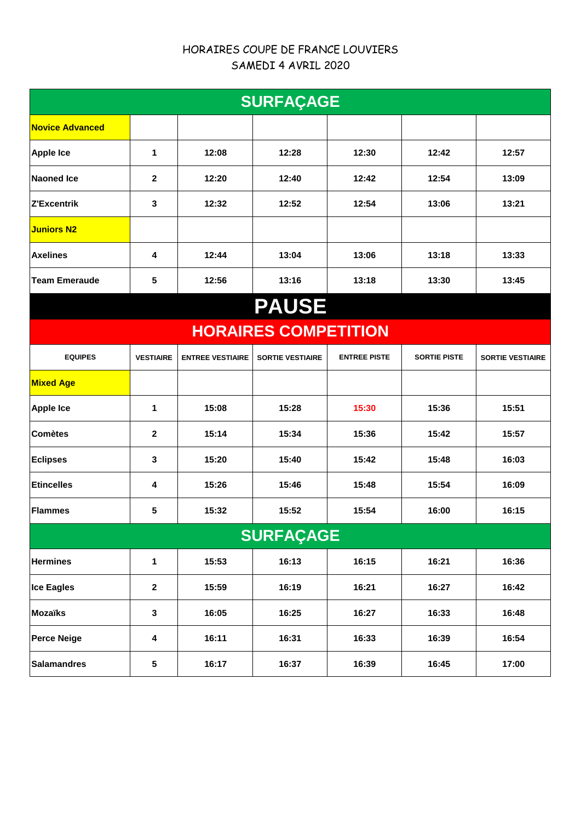## HORAIRES COUPE DE FRANCE LOUVIERS SAMEDI 4 AVRIL 2020

| <b>SURFAÇAGE</b>            |                  |                         |                         |                     |                     |                         |  |
|-----------------------------|------------------|-------------------------|-------------------------|---------------------|---------------------|-------------------------|--|
| <b>Novice Advanced</b>      |                  |                         |                         |                     |                     |                         |  |
| <b>Apple Ice</b>            | 1                | 12:08                   | 12:28                   | 12:30               | 12:42               | 12:57                   |  |
| Naoned Ice                  | $\mathbf{2}$     | 12:20                   | 12:40                   | 12:42               | 12:54               | 13:09                   |  |
| <b>Z'Excentrik</b>          | 3                | 12:32                   | 12:52                   | 12:54               | 13:06               | 13:21                   |  |
| <b>Juniors N2</b>           |                  |                         |                         |                     |                     |                         |  |
| <b>Axelines</b>             | 4                | 12:44                   | 13:04                   | 13:06               | 13:18               | 13:33                   |  |
| <b>Team Emeraude</b>        | 5                | 12:56                   | 13:16                   | 13:18               | 13:30               | 13:45                   |  |
| <b>PAUSE</b>                |                  |                         |                         |                     |                     |                         |  |
| <b>HORAIRES COMPETITION</b> |                  |                         |                         |                     |                     |                         |  |
| <b>EQUIPES</b>              | <b>VESTIAIRE</b> | <b>ENTREE VESTIAIRE</b> | <b>SORTIE VESTIAIRE</b> | <b>ENTREE PISTE</b> | <b>SORTIE PISTE</b> | <b>SORTIE VESTIAIRE</b> |  |
| <b>Mixed Age</b>            |                  |                         |                         |                     |                     |                         |  |
| <b>Apple Ice</b>            | 1                | 15:08                   | 15:28                   | 15:30               | 15:36               | 15:51                   |  |
| <b>Comètes</b>              | $\mathbf{2}$     | 15:14                   | 15:34                   | 15:36               | 15:42               | 15:57                   |  |
| <b>Eclipses</b>             | 3                | 15:20                   | 15:40                   | 15:42               | 15:48               | 16:03                   |  |
| <b>Etincelles</b>           | 4                | 15:26                   | 15:46                   | 15:48               | 15:54               | 16:09                   |  |
| <b>Flammes</b>              | 5                | 15:32                   | 15:52                   | 15:54               | 16:00               | 16:15                   |  |
| <b>SURFAÇAGE</b>            |                  |                         |                         |                     |                     |                         |  |
| <b>Hermines</b>             | 1                | 15:53                   | 16:13                   | 16:15               | 16:21               | 16:36                   |  |
| Ice Eagles                  | $\mathbf{2}$     | 15:59                   | 16:19                   | 16:21               | 16:27               | 16:42                   |  |
| Mozaïks                     | $\mathbf 3$      | 16:05                   | 16:25                   | 16:27               | 16:33               | 16:48                   |  |
| <b>Perce Neige</b>          | 4                | 16:11                   | 16:31                   | 16:33               | 16:39               | 16:54                   |  |
| <b>Salamandres</b>          | $\sqrt{5}$       | 16:17                   | 16:37                   | 16:39               | 16:45               | 17:00                   |  |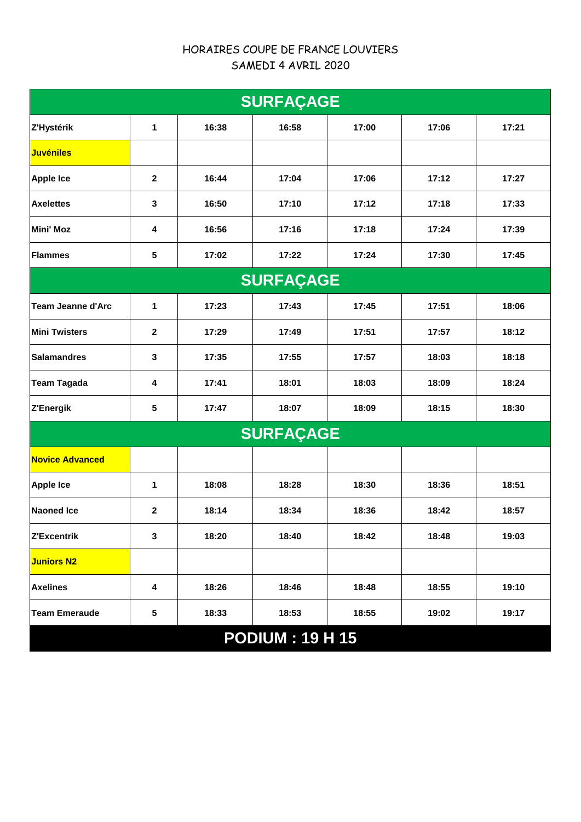# HORAIRES COUPE DE FRANCE LOUVIERS SAMEDI 4 AVRIL 2020

| <b>SURFAÇAGE</b>         |              |       |                  |       |       |       |  |  |
|--------------------------|--------------|-------|------------------|-------|-------|-------|--|--|
| Z'Hystérik               | 1            | 16:38 | 16:58            | 17:00 | 17:06 | 17:21 |  |  |
| <b>Juvéniles</b>         |              |       |                  |       |       |       |  |  |
| <b>Apple Ice</b>         | $\mathbf{2}$ | 16:44 | 17:04            | 17:06 | 17:12 | 17:27 |  |  |
| <b>Axelettes</b>         | 3            | 16:50 | 17:10            | 17:12 | 17:18 | 17:33 |  |  |
| <b>Mini' Moz</b>         | 4            | 16:56 | 17:16            | 17:18 | 17:24 | 17:39 |  |  |
| <b>Flammes</b>           | 5            | 17:02 | 17:22            | 17:24 | 17:30 | 17:45 |  |  |
| <b>SURFAÇAGE</b>         |              |       |                  |       |       |       |  |  |
| <b>Team Jeanne d'Arc</b> | 1            | 17:23 | 17:43            | 17:45 | 17:51 | 18:06 |  |  |
| <b>Mini Twisters</b>     | $\mathbf{2}$ | 17:29 | 17:49            | 17:51 | 17:57 | 18:12 |  |  |
| <b>Salamandres</b>       | 3            | 17:35 | 17:55            | 17:57 | 18:03 | 18:18 |  |  |
| <b>Team Tagada</b>       | 4            | 17:41 | 18:01            | 18:03 | 18:09 | 18:24 |  |  |
| Z'Energik                | 5            | 17:47 | 18:07            | 18:09 | 18:15 | 18:30 |  |  |
|                          |              |       | <b>SURFAÇAGE</b> |       |       |       |  |  |
| <b>Novice Advanced</b>   |              |       |                  |       |       |       |  |  |
| <b>Apple Ice</b>         | 1            | 18:08 | 18:28            | 18:30 | 18:36 | 18:51 |  |  |
| <b>Naoned Ice</b>        | $\mathbf{2}$ | 18:14 | 18:34            | 18:36 | 18:42 | 18:57 |  |  |
| Z'Excentrik              | 3            | 18:20 | 18:40            | 18:42 | 18:48 | 19:03 |  |  |
| <b>Juniors N2</b>        |              |       |                  |       |       |       |  |  |
| <b>Axelines</b>          | 4            | 18:26 | 18:46            | 18:48 | 18:55 | 19:10 |  |  |
| <b>Team Emeraude</b>     | 5            | 18:33 | 18:53            | 18:55 | 19:02 | 19:17 |  |  |
| <b>PODIUM: 19 H 15</b>   |              |       |                  |       |       |       |  |  |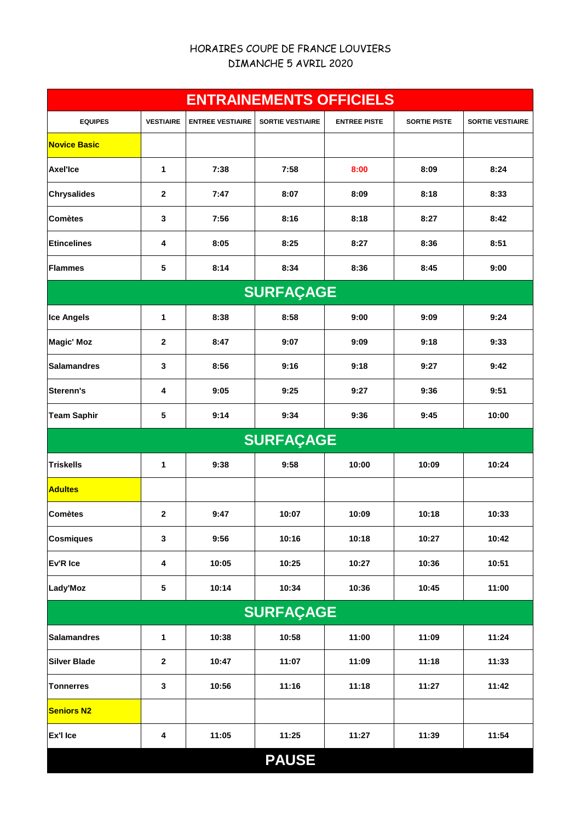### HORAIRES COUPE DE FRANCE LOUVIERS DIMANCHE 5 AVRIL 2020

| <b>ENTRAINEMENTS OFFICIELS</b> |                  |                         |                         |                     |                     |                         |  |
|--------------------------------|------------------|-------------------------|-------------------------|---------------------|---------------------|-------------------------|--|
| <b>EQUIPES</b>                 | <b>VESTIAIRE</b> | <b>ENTREE VESTIAIRE</b> | <b>SORTIE VESTIAIRE</b> | <b>ENTREE PISTE</b> | <b>SORTIE PISTE</b> | <b>SORTIE VESTIAIRE</b> |  |
| <b>Novice Basic</b>            |                  |                         |                         |                     |                     |                         |  |
| <b>Axel'Ice</b>                | 1                | 7:38                    | 7:58                    | 8:00                | 8:09                | 8:24                    |  |
| <b>Chrysalides</b>             | $\mathbf{2}$     | 7:47                    | 8:07                    | 8:09                | 8:18                | 8:33                    |  |
| <b>Comètes</b>                 | 3                | 7:56                    | 8:16                    | 8:18                | 8:27                | 8:42                    |  |
| <b>Etincelines</b>             | 4                | 8:05                    | 8:25                    | 8:27                | 8:36                | 8:51                    |  |
| <b>Flammes</b>                 | 5                | 8:14                    | 8:34                    | 8:36                | 8:45                | 9:00                    |  |
|                                |                  |                         | <b>SURFAÇAGE</b>        |                     |                     |                         |  |
| <b>Ice Angels</b>              | 1                | 8:38                    | 8:58                    | 9:00                | 9:09                | 9:24                    |  |
| <b>Magic' Moz</b>              | $\mathbf{2}$     | 8:47                    | 9:07                    | 9:09                | 9:18                | 9:33                    |  |
| <b>Salamandres</b>             | 3                | 8:56                    | 9:16                    | 9:18                | 9:27                | 9:42                    |  |
| Sterenn's                      | 4                | 9:05                    | 9:25                    | 9:27                | 9:36                | 9:51                    |  |
| <b>Team Saphir</b>             | 5                | 9:14                    | 9:34                    | 9:36                | 9:45                | 10:00                   |  |
|                                |                  |                         | <b>SURFAÇAGE</b>        |                     |                     |                         |  |
| <b>Triskells</b>               | 1                | 9:38                    | 9:58                    | 10:00               | 10:09               | 10:24                   |  |
| <b>Adultes</b>                 |                  |                         |                         |                     |                     |                         |  |
| <b>Comètes</b>                 | $\mathbf{2}$     | 9:47                    | 10:07                   | 10:09               | 10:18               | 10:33                   |  |
| <b>Cosmiques</b>               | 3                | 9:56                    | 10:16                   | 10:18               | 10:27               | 10:42                   |  |
| Ev'R Ice                       | 4                | 10:05                   | 10:25                   | 10:27               | 10:36               | 10:51                   |  |
| Lady'Moz                       | ${\bf 5}$        | 10:14                   | 10:34                   | 10:36               | 10:45               | 11:00                   |  |
| <b>SURFAÇAGE</b>               |                  |                         |                         |                     |                     |                         |  |
| <b>Salamandres</b>             | $\mathbf{1}$     | 10:38                   | 10:58                   | 11:00               | 11:09               | 11:24                   |  |
| <b>Silver Blade</b>            | $\mathbf{2}$     | 10:47                   | 11:07                   | 11:09               | 11:18               | 11:33                   |  |
| <b>Tonnerres</b>               | 3                | 10:56                   | 11:16                   | 11:18               | 11:27               | 11:42                   |  |
| <b>Seniors N2</b>              |                  |                         |                         |                     |                     |                         |  |
| Ex'l Ice                       | 4                | 11:05                   | 11:25                   | 11:27               | 11:39               | 11:54                   |  |
|                                |                  |                         | <b>PAUSE</b>            |                     |                     |                         |  |